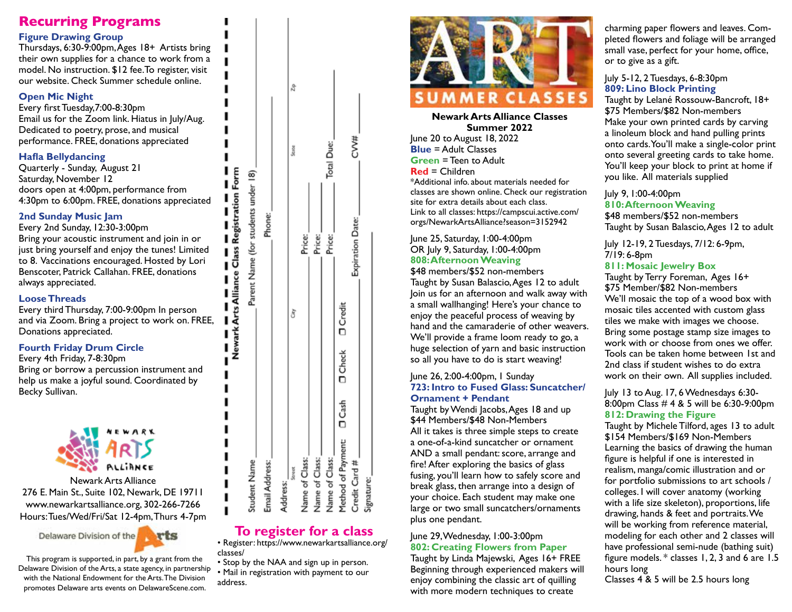# **Recurring Programs**

## **Figure Drawing Group**

Thursdays, 6:30-9:00pm, Ages 18+ Artists bring their own supplies for a chance to work from a model. No instruction. \$12 fee.To register, visit our website. Check Summer schedule online.

#### **Open Mic Night**

Every first Tuesday,7:00-8:30pm Email us for the Zoom link. Hiatus in July/Aug. Dedicated to poetry, prose, and musical performance. FREE, donations appreciated

#### **Hafla Bellydancing**

Quarterly - Sunday, August 21 Saturday, November 12 doors open at 4:00pm, performance from 4:30pm to 6:00pm. FREE, donations appreciated

#### **2nd Sunday Music Jam**

Every 2nd Sunday, 12:30-3:00pm Bring your acoustic instrument and join in or just bring yourself and enjoy the tunes! Limited to 8. Vaccinations encouraged. Hosted by Lori Benscoter, Patrick Callahan. FREE, donations always appreciated.

#### **Loose Threads**

Every third Thursday, 7:00-9:00pm In person and via Zoom. Bring a project to work on. FREE, Donations appreciated.

## **Fourth Friday Drum Circle**

Every 4th Friday, 7-8:30pm Bring or borrow a percussion instrument and help us make a joyful sound. Coordinated by Becky Sullivan.



Newark Arts Alliance 276 E. Main St., Suite 102, Newark, DE 19711 www.newarkartsalliance.org, 302-266-7266 Hours: Tues/Wed/Fri/Sat 12-4pm, Thurs 4-7pm

> Delaware Division of the rts

This program is supported, in part, by a grant from the Delaware Division of the Arts, a state agency, in partnership with the National Endowment for the Arts. The Division promotes Delaware arts events on DelawareScene.com.

|                                            |   | Newark Arts Alliance Class Registration Form |            |   |
|--------------------------------------------|---|----------------------------------------------|------------|---|
| Student Name                               |   | Parent Name (for students under 18)          |            |   |
| Email Address:                             |   | Phone:                                       |            |   |
| Address:                                   |   |                                              |            |   |
| Street                                     | ð |                                              | State      | å |
| Name of Class:                             |   | Price:                                       |            |   |
| Name of Class:                             |   | Price:                                       |            |   |
| Name of Class:                             |   | Price:                                       | Total Due: |   |
| Method of Payment: D Cash D Check D Credit |   |                                              |            |   |
| Credit Card #                              |   | Expiration Date:                             | CV#        |   |
| Signature:                                 |   |                                              |            |   |

# **To register for a class**

• Register: https://www.newarkartsalliance.org/ classes/

• Stop by the NAA and sign up in person. • Mail in registration with payment to our address.



#### **Newark Arts Alliance Classes Summer 2022**

June 20 to August 18, 2022 **Blue** = Adult Classes **Green** = Teen to Adult **Red** = Children \*Additional info. about materials needed for classes are shown online. Check our registration site for extra details about each class. Link to all classes: https://campscui.active.com/ orgs/NewarkArtsAlliance?season=3152942

June 25, Saturday, 1:00-4:00pm OR July 9, Saturday, 1:00-4:00pm **808: Afternoon Weaving**

\$48 members/\$52 non-members Taught by Susan Balascio, Ages 12 to adult Join us for an afternoon and walk away with a small wallhanging! Here's your chance to enjoy the peaceful process of weaving by hand and the camaraderie of other weavers. We'll provide a frame loom ready to go, a huge selection of yarn and basic instruction so all you have to do is start weaving!

#### June 26, 2:00-4:00pm, 1 Sunday **723: Intro to Fused Glass: Suncatcher/ Ornament + Pendant**

Taught by Wendi Jacobs, Ages 18 and up \$44 Members/\$48 Non-Members All it takes is three simple steps to create a one-of-a-kind suncatcher or ornament AND a small pendant: score, arrange and fire! After exploring the basics of glass fusing, you'll learn how to safely score and break glass, then arrange into a design of your choice. Each student may make one large or two small suncatchers/ornaments plus one pendant.

## June 29, Wednesday, 1:00-3:00pm **802: Creating Flowers from Paper**

Taught by Linda Majewski, Ages 16+ FREE Beginning through experienced makers will enjoy combining the classic art of quilling with more modern techniques to create

charming paper flowers and leaves. Completed flowers and foliage will be arranged small vase, perfect for your home, office, or to give as a gift.

#### July 5-12, 2 Tuesdays, 6-8:30pm **809: Lino Block Printing**

Taught by Lelané Rossouw-Bancroft, 18+ \$75 Members/\$82 Non-members Make your own printed cards by carving a linoleum block and hand pulling prints onto cards. You'll make a single-color print onto several greeting cards to take home. You'll keep your block to print at home if you like. All materials supplied

#### July 9, 1:00-4:00pm **810: Afternoon Weaving**

\$48 members/\$52 non-members Taught by Susan Balascio, Ages 12 to adult

July 12-19, 2 Tuesdays, 7/12: 6-9pm, 7/19: 6-8pm **811: Mosaic Jewelry Box**

Taught by Terry Foreman, Ages 16+ \$75 Member/\$82 Non-members We'll mosaic the top of a wood box with mosaic tiles accented with custom glass tiles we make with images we choose. Bring some postage stamp size images to work with or choose from ones we offer. Tools can be taken home between 1st and 2nd class if student wishes to do extra work on their own. All supplies included.

#### July 13 to Aug. 17, 6 Wednesdays 6:30- 8:00pm Class # 4 & 5 will be 6:30-9:00pm **812: Drawing the Figure**

Taught by Michele Tilford, ages 13 to adult \$154 Members/\$169 Non-Members Learning the basics of drawing the human figure is helpful if one is interested in realism, manga/comic illustration and or for portfolio submissions to art schools / colleges. I will cover anatomy (working with a life size skeleton), proportions, life drawing, hands & feet and portraits. We will be working from reference material, modeling for each other and 2 classes will have professional semi-nude (bathing suit) figure models. \* classes 1, 2, 3 and 6 are 1.5 hours long

Classes 4 & 5 will be 2.5 hours long